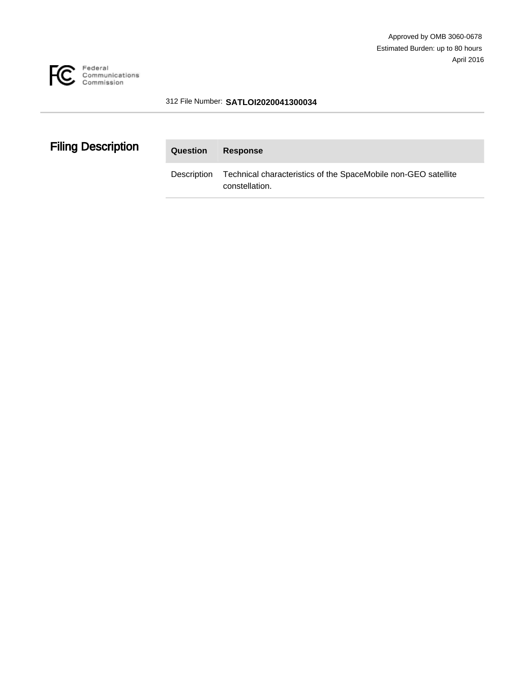

#### 312 File Number: **SATLOI2020041300034**

# **Filing Description Question**

| stion | <b>Response</b> |
|-------|-----------------|
|       |                 |

Description Technical characteristics of the SpaceMobile non-GEO satellite constellation.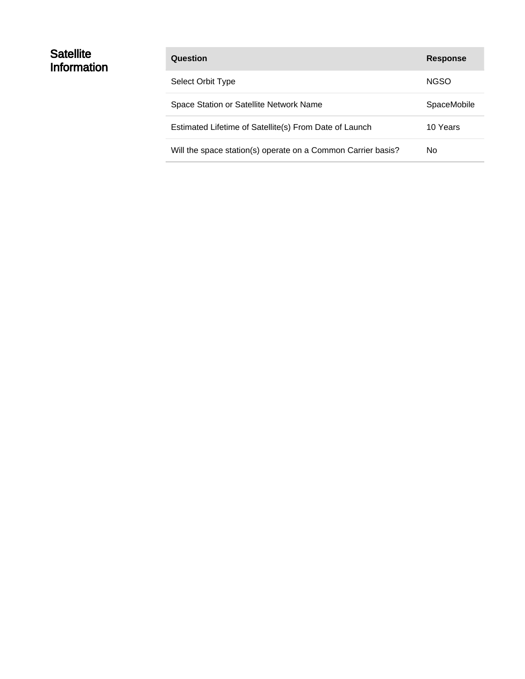### **Satellite Information**

| Question                                                     | <b>Response</b> |
|--------------------------------------------------------------|-----------------|
| Select Orbit Type                                            | <b>NGSO</b>     |
| Space Station or Satellite Network Name                      | SpaceMobile     |
| Estimated Lifetime of Satellite(s) From Date of Launch       | 10 Years        |
| Will the space station(s) operate on a Common Carrier basis? | No.             |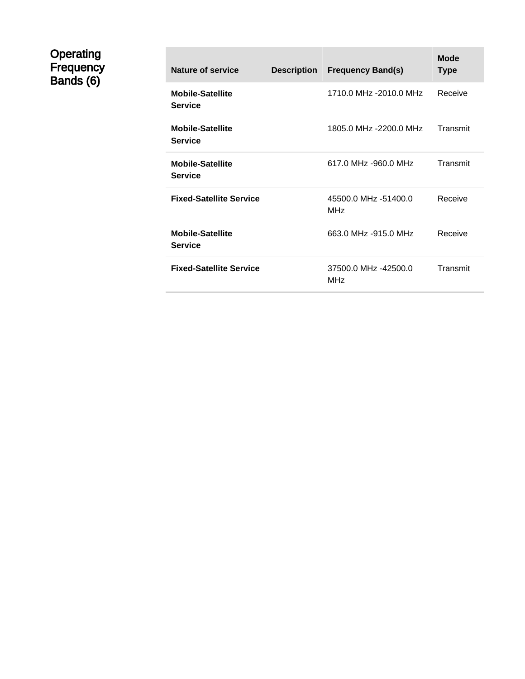### **Operating** Frequency Bands (6)

| Nature of service                         | Description | <b>Frequency Band(s)</b>           | Mode<br>Type |
|-------------------------------------------|-------------|------------------------------------|--------------|
| <b>Mobile-Satellite</b><br><b>Service</b> |             | 1710.0 MHz -2010.0 MHz             | Receive      |
| <b>Mobile-Satellite</b><br><b>Service</b> |             | 1805.0 MHz -2200.0 MHz             | Transmit     |
| <b>Mobile-Satellite</b><br><b>Service</b> |             | 617.0 MHz -960.0 MHz               | Transmit     |
| <b>Fixed-Satellite Service</b>            |             | 45500.0 MHz -51400.0<br><b>MHz</b> | Receive      |
| <b>Mobile-Satellite</b><br><b>Service</b> |             | 663.0 MHz -915.0 MHz               | Receive      |
| <b>Fixed-Satellite Service</b>            |             | 37500.0 MHz -42500.0<br><b>MHz</b> | Transmit     |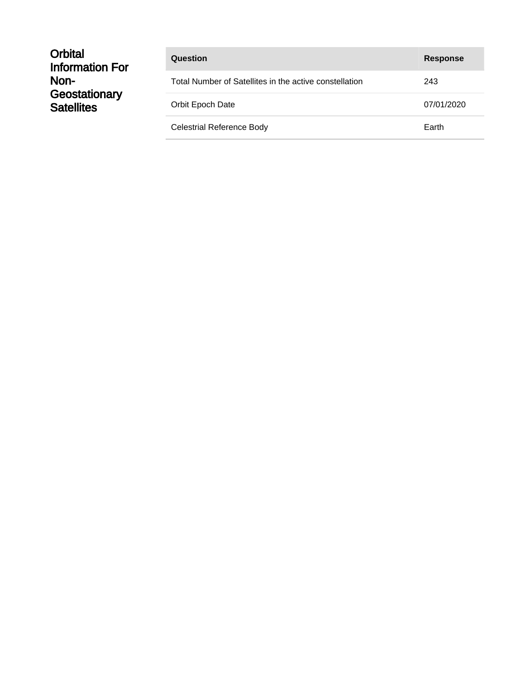| <b>Orbital</b><br><b>Information For</b><br>Non- | Question                                               | <b>Response</b> |
|--------------------------------------------------|--------------------------------------------------------|-----------------|
|                                                  | Total Number of Satellites in the active constellation | 243             |
| Geostationary<br><b>Satellites</b>               | Orbit Epoch Date                                       | 07/01/2020      |
|                                                  | <b>Celestrial Reference Body</b>                       | Earth           |
|                                                  |                                                        |                 |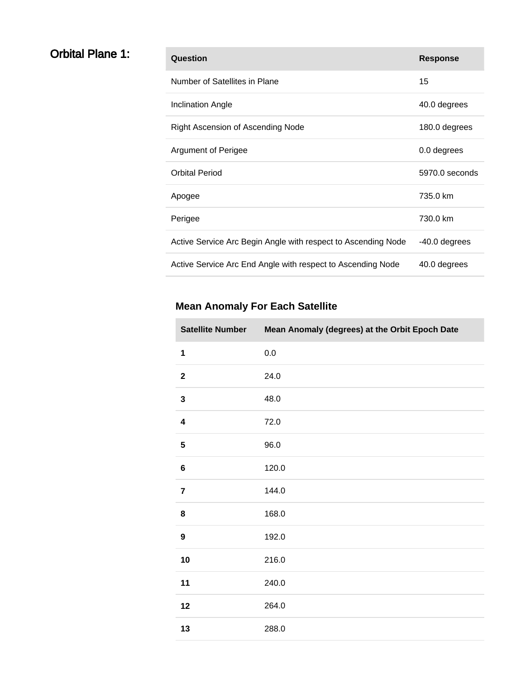### **Orbital Plane 1:**

| Question                                                      | <b>Response</b> |
|---------------------------------------------------------------|-----------------|
| Number of Satellites in Plane                                 | 15              |
| Inclination Angle                                             | 40.0 degrees    |
| Right Ascension of Ascending Node                             | 180.0 degrees   |
| Argument of Perigee                                           | 0.0 degrees     |
| <b>Orbital Period</b>                                         | 5970.0 seconds  |
| Apogee                                                        | 735.0 km        |
| Perigee                                                       | 730.0 km        |
| Active Service Arc Begin Angle with respect to Ascending Node | -40.0 degrees   |
| Active Service Arc End Angle with respect to Ascending Node   | 40.0 degrees    |

| <b>Satellite Number</b> | Mean Anomaly (degrees) at the Orbit Epoch Date |
|-------------------------|------------------------------------------------|
| $\mathbf 1$             | $0.0\,$                                        |
| $\overline{\mathbf{2}}$ | 24.0                                           |
| $\mathbf 3$             | 48.0                                           |
| 4                       | 72.0                                           |
| 5                       | 96.0                                           |
| $\bf 6$                 | 120.0                                          |
| $\overline{\mathbf{7}}$ | 144.0                                          |
| 8                       | 168.0                                          |
| 9                       | 192.0                                          |
| 10                      | 216.0                                          |
| 11                      | 240.0                                          |
| 12                      | 264.0                                          |
| 13                      | 288.0                                          |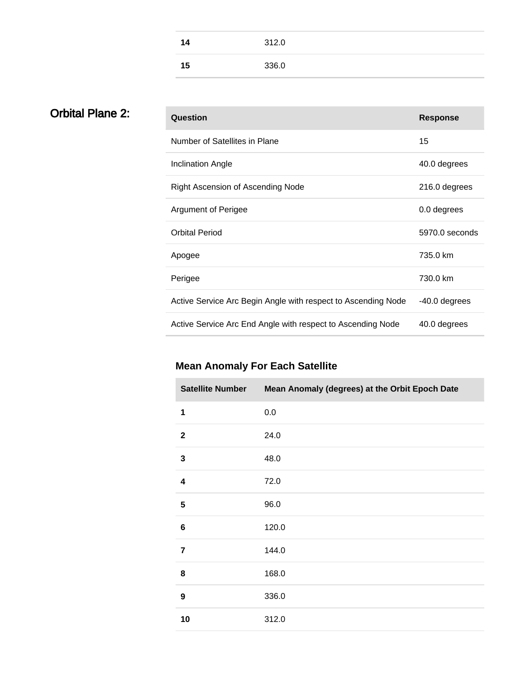| 14 | 312.0 |
|----|-------|
| 15 | 336.0 |

### **Orbital Plane 2:**

| Question                                                      | <b>Response</b> |
|---------------------------------------------------------------|-----------------|
| Number of Satellites in Plane                                 | 15              |
| Inclination Angle                                             | 40.0 degrees    |
| Right Ascension of Ascending Node                             | 216.0 degrees   |
| <b>Argument of Perigee</b>                                    | 0.0 degrees     |
| <b>Orbital Period</b>                                         | 5970.0 seconds  |
| Apogee                                                        | 735.0 km        |
| Perigee                                                       | 730.0 km        |
| Active Service Arc Begin Angle with respect to Ascending Node | -40.0 degrees   |
| Active Service Arc End Angle with respect to Ascending Node   | 40.0 degrees    |

| <b>Satellite Number</b> | Mean Anomaly (degrees) at the Orbit Epoch Date |
|-------------------------|------------------------------------------------|
| 1                       | 0.0                                            |
| $\mathbf{2}$            | 24.0                                           |
| 3                       | 48.0                                           |
| 4                       | 72.0                                           |
| 5                       | 96.0                                           |
| 6                       | 120.0                                          |
| $\overline{\mathbf{r}}$ | 144.0                                          |
| 8                       | 168.0                                          |
| 9                       | 336.0                                          |
| 10                      | 312.0                                          |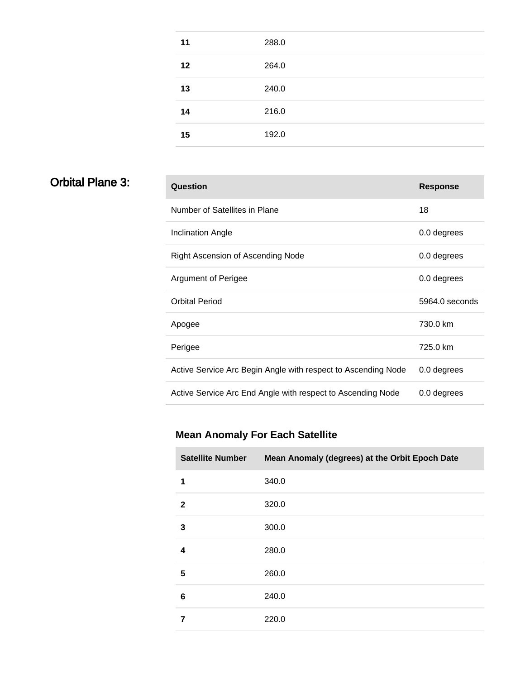| 11 | 288.0 |
|----|-------|
| 12 | 264.0 |
| 13 | 240.0 |
| 14 | 216.0 |
| 15 | 192.0 |

### **Orbital Plane 3:**

| Question                                                      | <b>Response</b> |
|---------------------------------------------------------------|-----------------|
| Number of Satellites in Plane                                 | 18              |
| Inclination Angle                                             | 0.0 degrees     |
| Right Ascension of Ascending Node                             | 0.0 degrees     |
| Argument of Perigee                                           | 0.0 degrees     |
| <b>Orbital Period</b>                                         | 5964.0 seconds  |
| Apogee                                                        | 730.0 km        |
| Perigee                                                       | 725.0 km        |
| Active Service Arc Begin Angle with respect to Ascending Node | 0.0 degrees     |
| Active Service Arc End Angle with respect to Ascending Node   | 0.0 degrees     |
|                                                               |                 |

| <b>Satellite Number</b> | Mean Anomaly (degrees) at the Orbit Epoch Date |
|-------------------------|------------------------------------------------|
| 1                       | 340.0                                          |
| $\mathbf{2}$            | 320.0                                          |
| 3                       | 300.0                                          |
| 4                       | 280.0                                          |
| 5                       | 260.0                                          |
| 6                       | 240.0                                          |
|                         | 220.0                                          |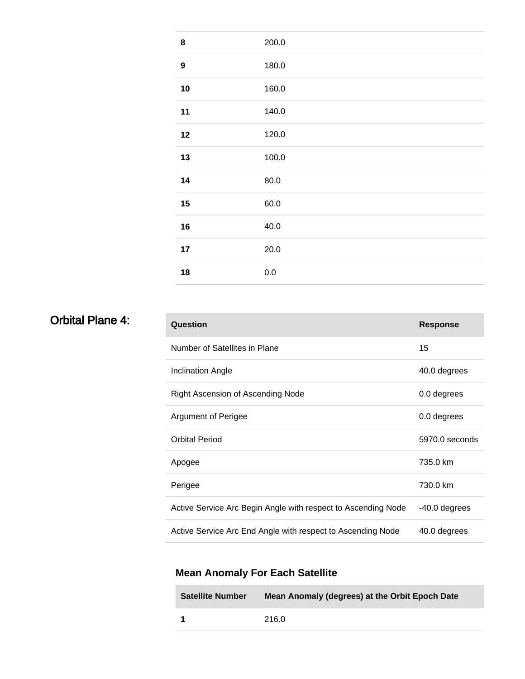| $\bf 8$          | 200.0   |
|------------------|---------|
| $\boldsymbol{9}$ | 180.0   |
| 10               | 160.0   |
| 11               | 140.0   |
| 12               | 120.0   |
| 13               | 100.0   |
| 14               | 80.0    |
| 15               | 60.0    |
| 16               | 40.0    |
| 17               | 20.0    |
| 18               | $0.0\,$ |

### **Orbital Plane 4:**

| Question                                                      | <b>Response</b> |
|---------------------------------------------------------------|-----------------|
| Number of Satellites in Plane                                 | 15              |
| <b>Inclination Angle</b>                                      | 40.0 degrees    |
| Right Ascension of Ascending Node                             | 0.0 degrees     |
| Argument of Perigee                                           | 0.0 degrees     |
| <b>Orbital Period</b>                                         | 5970.0 seconds  |
| Apogee                                                        | 735.0 km        |
| Perigee                                                       | 730.0 km        |
| Active Service Arc Begin Angle with respect to Ascending Node | -40.0 degrees   |
| Active Service Arc End Angle with respect to Ascending Node   | 40.0 degrees    |

| <b>Satellite Number</b> | Mean Anomaly (degrees) at the Orbit Epoch Date |
|-------------------------|------------------------------------------------|
| $\overline{\mathbf{1}}$ | 216.0                                          |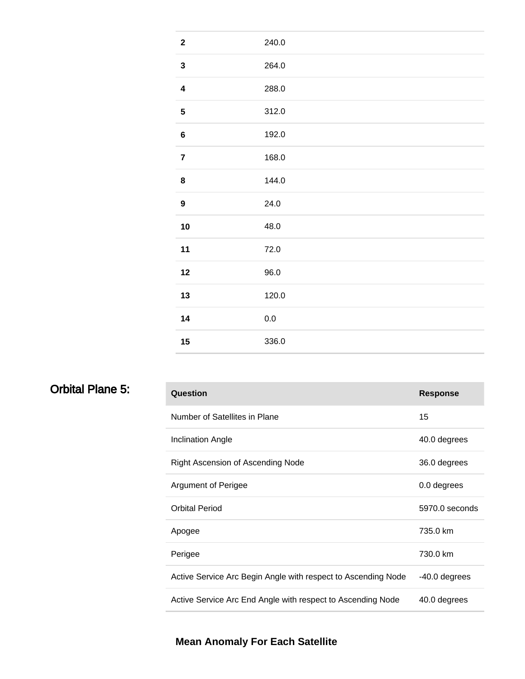| $\mathbf 2$             | 240.0   |
|-------------------------|---------|
| $\mathbf 3$             | 264.0   |
| $\overline{\mathbf{4}}$ | 288.0   |
| ${\bf 5}$               | 312.0   |
| $\bf 6$                 | 192.0   |
| $\boldsymbol{7}$        | 168.0   |
| 8                       | 144.0   |
| $\boldsymbol{9}$        | 24.0    |
| 10                      | 48.0    |
| 11                      | 72.0    |
| 12                      | 96.0    |
| 13                      | 120.0   |
| 14                      | $0.0\,$ |
| 15                      | 336.0   |

# **Orbital Plane 5:**

| Question                                                      | <b>Response</b> |
|---------------------------------------------------------------|-----------------|
| Number of Satellites in Plane                                 | 15              |
| Inclination Angle                                             | 40.0 degrees    |
| Right Ascension of Ascending Node                             | 36.0 degrees    |
| Argument of Perigee                                           | 0.0 degrees     |
| <b>Orbital Period</b>                                         | 5970.0 seconds  |
| Apogee                                                        | 735.0 km        |
| Perigee                                                       | 730.0 km        |
| Active Service Arc Begin Angle with respect to Ascending Node | -40.0 degrees   |
| Active Service Arc End Angle with respect to Ascending Node   | 40.0 degrees    |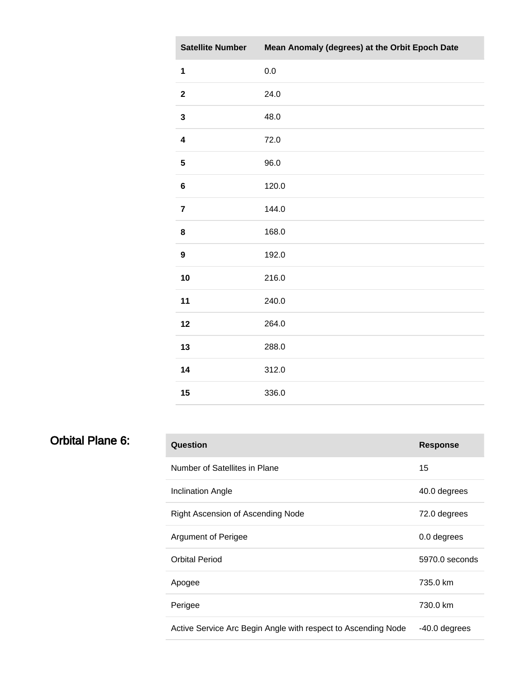| <b>Satellite Number</b> | Mean Anomaly (degrees) at the Orbit Epoch Date |
|-------------------------|------------------------------------------------|
| $\mathbf 1$             | 0.0                                            |
| $\mathbf{2}$            | 24.0                                           |
| $\mathbf{3}$            | 48.0                                           |
| $\overline{\mathbf{4}}$ | 72.0                                           |
| 5                       | 96.0                                           |
| $\bf 6$                 | 120.0                                          |
| $\overline{7}$          | 144.0                                          |
| 8                       | 168.0                                          |
| $\boldsymbol{9}$        | 192.0                                          |
| 10                      | 216.0                                          |
| 11                      | 240.0                                          |
| 12                      | 264.0                                          |
| 13                      | 288.0                                          |
| 14                      | 312.0                                          |
| 15                      | 336.0                                          |

 $\sim$ 

| Orbital Plane 6: | Question                                                      | <b>Response</b> |
|------------------|---------------------------------------------------------------|-----------------|
|                  | Number of Satellites in Plane                                 | 15              |
|                  | <b>Inclination Angle</b>                                      | 40.0 degrees    |
|                  | Right Ascension of Ascending Node                             | 72.0 degrees    |
|                  | <b>Argument of Perigee</b>                                    | 0.0 degrees     |
|                  | <b>Orbital Period</b>                                         | 5970.0 seconds  |
|                  | Apogee                                                        | 735.0 km        |
|                  | Perigee                                                       | 730.0 km        |
|                  | Active Service Arc Begin Angle with respect to Ascending Node | -40.0 degrees   |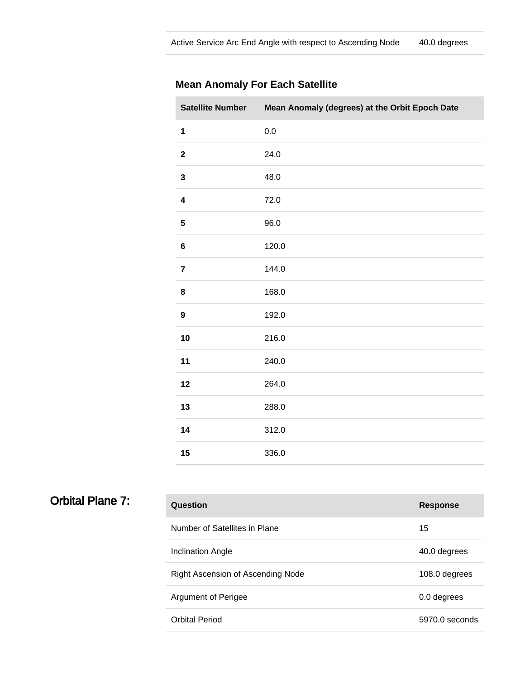| <b>Satellite Number</b> | Mean Anomaly (degrees) at the Orbit Epoch Date |
|-------------------------|------------------------------------------------|
| $\mathbf{1}$            | 0.0                                            |
| $\mathbf 2$             | 24.0                                           |
| $\mathbf{3}$            | 48.0                                           |
| 4                       | 72.0                                           |
| $\overline{\mathbf{5}}$ | 96.0                                           |
| 6                       | 120.0                                          |
| $\overline{7}$          | 144.0                                          |
| 8                       | 168.0                                          |
| $\boldsymbol{9}$        | 192.0                                          |
| 10                      | 216.0                                          |
| 11                      | 240.0                                          |
| 12                      | 264.0                                          |
| 13                      | 288.0                                          |
| 14                      | 312.0                                          |
| 15                      | 336.0                                          |

| <b>Orbital Plane 7:</b> |  |  |
|-------------------------|--|--|
|-------------------------|--|--|

| Question                          | <b>Response</b> |
|-----------------------------------|-----------------|
| Number of Satellites in Plane     | 15              |
| <b>Inclination Angle</b>          | 40.0 degrees    |
| Right Ascension of Ascending Node | 108.0 degrees   |
| Argument of Perigee               | 0.0 degrees     |
| <b>Orbital Period</b>             | 5970.0 seconds  |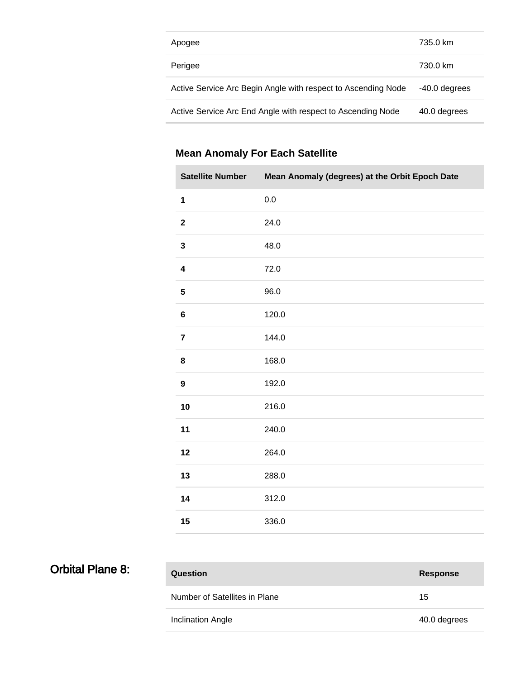| Apogee                                                        | 735.0 km      |
|---------------------------------------------------------------|---------------|
| Perigee                                                       | 730.0 km      |
| Active Service Arc Begin Angle with respect to Ascending Node | -40.0 degrees |
| Active Service Arc End Angle with respect to Ascending Node   | 40.0 degrees  |

| <b>Satellite Number</b> | Mean Anomaly (degrees) at the Orbit Epoch Date |
|-------------------------|------------------------------------------------|
| $\mathbf 1$             | 0.0                                            |
| $\mathbf 2$             | 24.0                                           |
| 3                       | 48.0                                           |
| $\overline{\mathbf{4}}$ | 72.0                                           |
| 5                       | 96.0                                           |
| $\bf 6$                 | 120.0                                          |
| $\overline{\mathbf{7}}$ | 144.0                                          |
| 8                       | 168.0                                          |
| $\boldsymbol{9}$        | 192.0                                          |
| 10                      | 216.0                                          |
| 11                      | 240.0                                          |
| 12                      | 264.0                                          |
| 13                      | 288.0                                          |
| 14                      | 312.0                                          |
| 15                      | 336.0                                          |

# Orbital Plane 8:

| Question                      | <b>Response</b> |
|-------------------------------|-----------------|
| Number of Satellites in Plane | 15              |
| Inclination Angle             | 40.0 degrees    |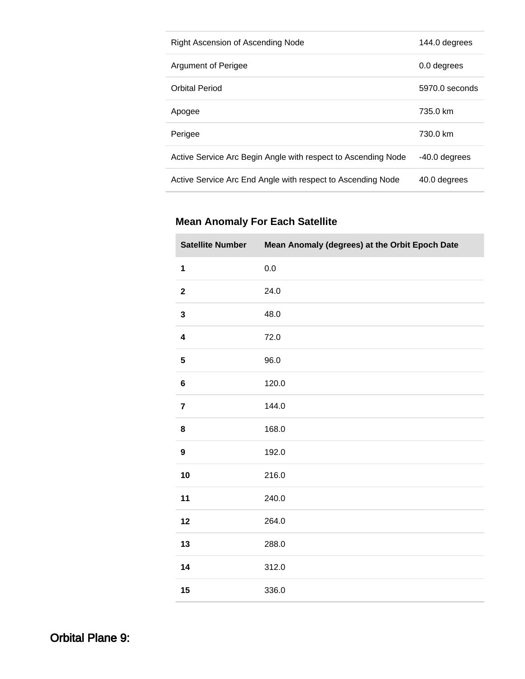| Right Ascension of Ascending Node                             | 144.0 degrees  |
|---------------------------------------------------------------|----------------|
| Argument of Perigee                                           | 0.0 degrees    |
| Orbital Period                                                | 5970.0 seconds |
| Apogee                                                        | 735.0 km       |
| Perigee                                                       | 730.0 km       |
| Active Service Arc Begin Angle with respect to Ascending Node | -40.0 degrees  |
| Active Service Arc End Angle with respect to Ascending Node   | 40.0 degrees   |

i.

| <b>Satellite Number</b> | Mean Anomaly (degrees) at the Orbit Epoch Date |
|-------------------------|------------------------------------------------|
| $\mathbf 1$             | 0.0                                            |
| $\mathbf{2}$            | 24.0                                           |
| $\mathbf{3}$            | 48.0                                           |
| $\overline{\mathbf{4}}$ | 72.0                                           |
| $\overline{\mathbf{5}}$ | 96.0                                           |
| $\bf 6$                 | 120.0                                          |
| $\overline{\mathbf{7}}$ | 144.0                                          |
| 8                       | 168.0                                          |
| $\boldsymbol{9}$        | 192.0                                          |
| 10                      | 216.0                                          |
| 11                      | 240.0                                          |
| 12                      | 264.0                                          |
| 13                      | 288.0                                          |
| 14                      | 312.0                                          |
| 15                      | 336.0                                          |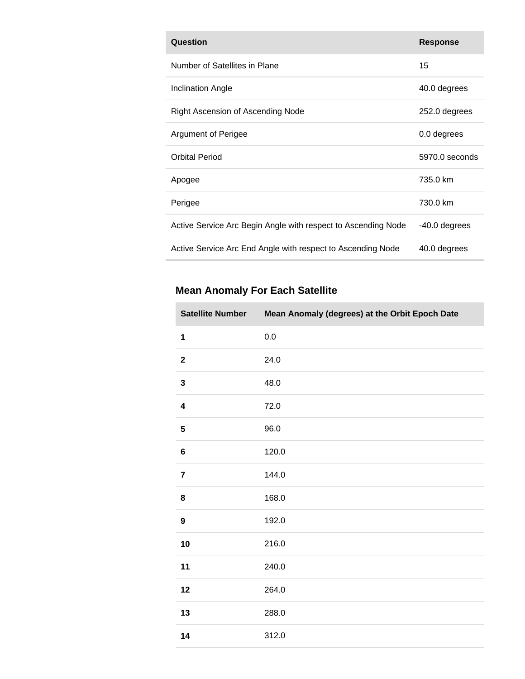| Question                                                      | <b>Response</b> |
|---------------------------------------------------------------|-----------------|
| Number of Satellites in Plane                                 | 15              |
| <b>Inclination Angle</b>                                      | 40.0 degrees    |
| Right Ascension of Ascending Node                             | 252.0 degrees   |
| Argument of Perigee                                           | 0.0 degrees     |
| <b>Orbital Period</b>                                         | 5970.0 seconds  |
| Apogee                                                        | 735.0 km        |
| Perigee                                                       | 730.0 km        |
| Active Service Arc Begin Angle with respect to Ascending Node | -40.0 degrees   |
| Active Service Arc End Angle with respect to Ascending Node   | 40.0 degrees    |

| <b>Satellite Number</b> | Mean Anomaly (degrees) at the Orbit Epoch Date |
|-------------------------|------------------------------------------------|
| 1                       | 0.0                                            |
| $\overline{\mathbf{2}}$ | 24.0                                           |
| 3                       | 48.0                                           |
| $\overline{\mathbf{4}}$ | 72.0                                           |
| 5                       | 96.0                                           |
| $\bf 6$                 | 120.0                                          |
| $\overline{\mathbf{r}}$ | 144.0                                          |
| 8                       | 168.0                                          |
| 9                       | 192.0                                          |
| 10                      | 216.0                                          |
| 11                      | 240.0                                          |
| 12                      | 264.0                                          |
| 13                      | 288.0                                          |
| 14                      | 312.0                                          |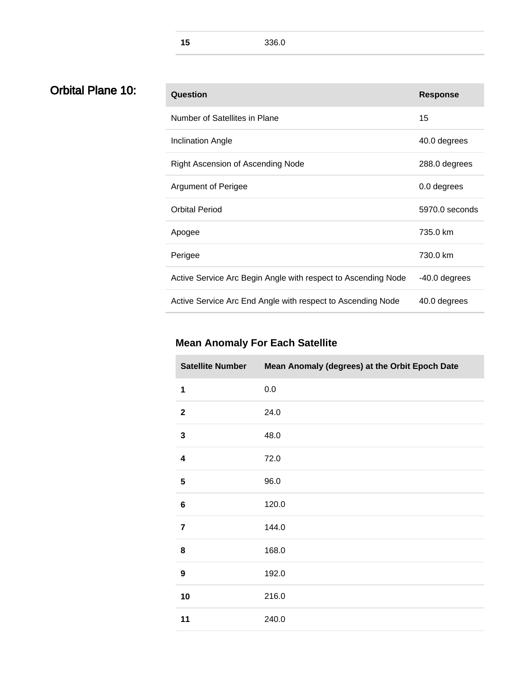### **Orbital Plane 10:**

| Question                                                      | <b>Response</b> |
|---------------------------------------------------------------|-----------------|
| Number of Satellites in Plane                                 | 15              |
| Inclination Angle                                             | 40.0 degrees    |
| Right Ascension of Ascending Node                             | 288.0 degrees   |
| Argument of Perigee                                           | 0.0 degrees     |
| <b>Orbital Period</b>                                         | 5970.0 seconds  |
| Apogee                                                        | 735.0 km        |
| Perigee                                                       | 730.0 km        |
| Active Service Arc Begin Angle with respect to Ascending Node | -40.0 degrees   |
| Active Service Arc End Angle with respect to Ascending Node   | 40.0 degrees    |

| <b>Satellite Number</b> | Mean Anomaly (degrees) at the Orbit Epoch Date |
|-------------------------|------------------------------------------------|
| 1                       | 0.0                                            |
| $\overline{\mathbf{2}}$ | 24.0                                           |
| $\mathbf{3}$            | 48.0                                           |
| $\overline{\mathbf{4}}$ | 72.0                                           |
| 5                       | 96.0                                           |
| $6\phantom{1}6$         | 120.0                                          |
| $\overline{7}$          | 144.0                                          |
| 8                       | 168.0                                          |
| $\mathbf{9}$            | 192.0                                          |
| 10                      | 216.0                                          |
| 11                      | 240.0                                          |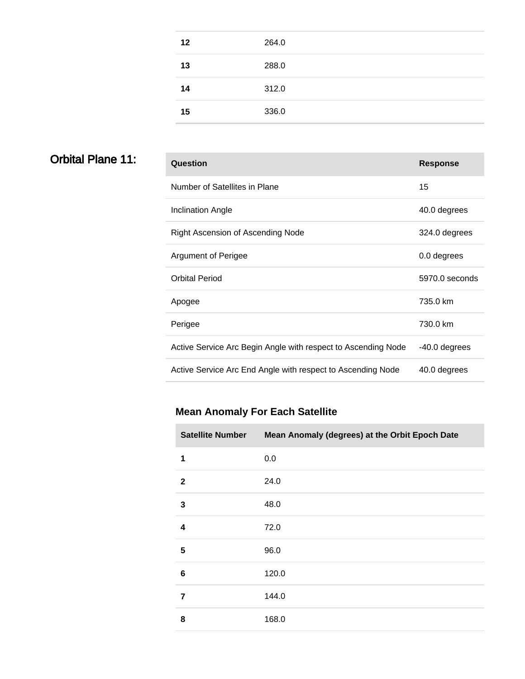| 12 | 264.0 |
|----|-------|
| 13 | 288.0 |
| 14 | 312.0 |
| 15 | 336.0 |

# **Orbital Plane 11:**

| Question                                                      | <b>Response</b> |
|---------------------------------------------------------------|-----------------|
| Number of Satellites in Plane                                 | 15              |
| Inclination Angle                                             | 40.0 degrees    |
| Right Ascension of Ascending Node                             | 324.0 degrees   |
| <b>Argument of Perigee</b>                                    | 0.0 degrees     |
| <b>Orbital Period</b>                                         | 5970.0 seconds  |
| Apogee                                                        | 735.0 km        |
| Perigee                                                       | 730.0 km        |
| Active Service Arc Begin Angle with respect to Ascending Node | -40.0 degrees   |
| Active Service Arc End Angle with respect to Ascending Node   | 40.0 degrees    |

| <b>Satellite Number</b> | Mean Anomaly (degrees) at the Orbit Epoch Date |
|-------------------------|------------------------------------------------|
| 1                       | 0.0                                            |
| $\mathbf{2}$            | 24.0                                           |
| 3                       | 48.0                                           |
| 4                       | 72.0                                           |
| 5                       | 96.0                                           |
| 6                       | 120.0                                          |
| $\overline{7}$          | 144.0                                          |
| 8                       | 168.0                                          |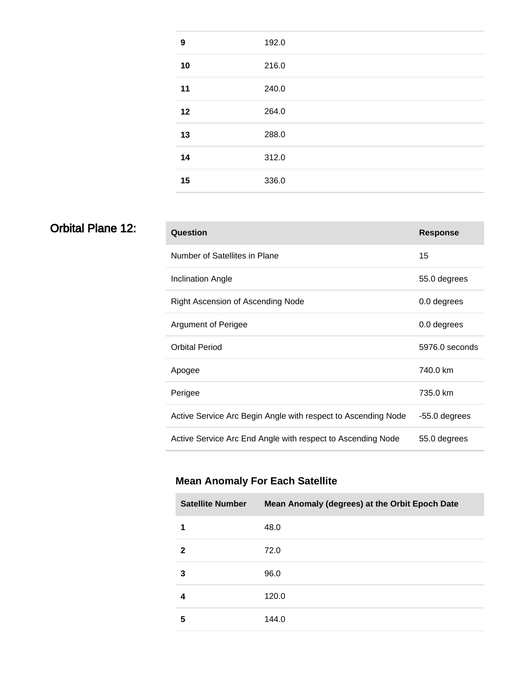| 9  | 192.0 |
|----|-------|
| 10 | 216.0 |
| 11 | 240.0 |
| 12 | 264.0 |
| 13 | 288.0 |
| 14 | 312.0 |
| 15 | 336.0 |

### **Orbital Plane 12:**

| Question                                                      | <b>Response</b> |
|---------------------------------------------------------------|-----------------|
| Number of Satellites in Plane                                 | 15              |
| Inclination Angle                                             | 55.0 degrees    |
| Right Ascension of Ascending Node                             | 0.0 degrees     |
| Argument of Perigee                                           | 0.0 degrees     |
| <b>Orbital Period</b>                                         | 5976.0 seconds  |
| Apogee                                                        | 740.0 km        |
| Perigee                                                       | 735.0 km        |
| Active Service Arc Begin Angle with respect to Ascending Node | -55.0 degrees   |
| Active Service Arc End Angle with respect to Ascending Node   | 55.0 degrees    |

| <b>Satellite Number</b> | Mean Anomaly (degrees) at the Orbit Epoch Date |  |
|-------------------------|------------------------------------------------|--|
| 1                       | 48.0                                           |  |
| 2                       | 72.0                                           |  |
| 3                       | 96.0                                           |  |
| 4                       | 120.0                                          |  |
| 5                       | 144.0                                          |  |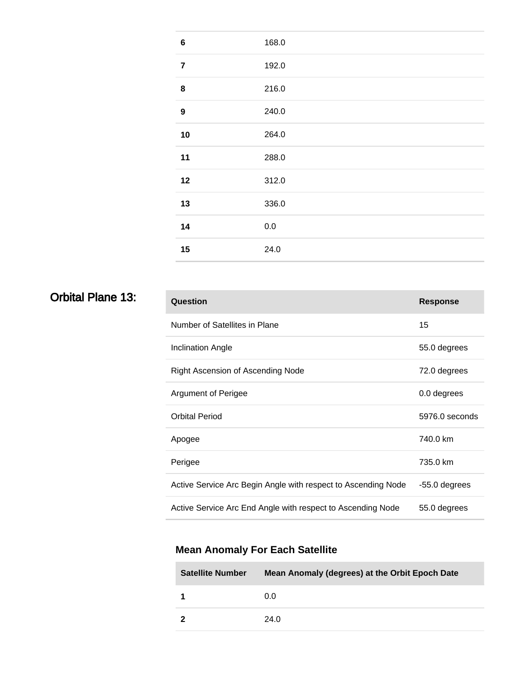| $\bf 6$          | 168.0   |
|------------------|---------|
| $\overline{7}$   | 192.0   |
| ${\bf 8}$        | 216.0   |
| $\boldsymbol{9}$ | 240.0   |
| 10               | 264.0   |
| 11               | 288.0   |
| 12               | 312.0   |
| 13               | 336.0   |
| 14               | $0.0\,$ |
| 15               | 24.0    |

### **Orbital Plane 13:**

| Question                                                      | <b>Response</b> |
|---------------------------------------------------------------|-----------------|
| Number of Satellites in Plane                                 | 15              |
| Inclination Angle                                             | 55.0 degrees    |
| Right Ascension of Ascending Node                             | 72.0 degrees    |
| <b>Argument of Perigee</b>                                    | 0.0 degrees     |
| <b>Orbital Period</b>                                         | 5976.0 seconds  |
| Apogee                                                        | 740.0 km        |
| Perigee                                                       | 735.0 km        |
| Active Service Arc Begin Angle with respect to Ascending Node | -55.0 degrees   |
| Active Service Arc End Angle with respect to Ascending Node   | 55.0 degrees    |

| <b>Satellite Number</b> | Mean Anomaly (degrees) at the Orbit Epoch Date |
|-------------------------|------------------------------------------------|
|                         | 0.0                                            |
| 2                       | 24.0                                           |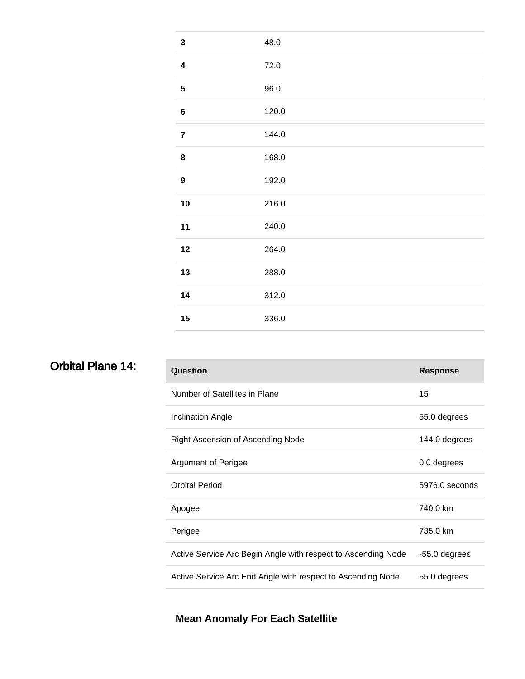| $\mathbf{3}$            | 48.0  |
|-------------------------|-------|
| $\overline{\mathbf{4}}$ | 72.0  |
| ${\bf 5}$               | 96.0  |
| $\bf 6$                 | 120.0 |
| $\overline{7}$          | 144.0 |
| ${\bf 8}$               | 168.0 |
| $\boldsymbol{9}$        | 192.0 |
| 10                      | 216.0 |
| 11                      | 240.0 |
| 12                      | 264.0 |
| 13                      | 288.0 |
| 14                      | 312.0 |
| 15                      | 336.0 |

## **Orbital Plane 14:**

| Question                                                      | <b>Response</b> |
|---------------------------------------------------------------|-----------------|
| Number of Satellites in Plane                                 | 15              |
| <b>Inclination Angle</b>                                      | 55.0 degrees    |
| Right Ascension of Ascending Node                             | 144.0 degrees   |
| <b>Argument of Perigee</b>                                    | 0.0 degrees     |
| <b>Orbital Period</b>                                         | 5976.0 seconds  |
| Apogee                                                        | 740.0 km        |
| Perigee                                                       | 735.0 km        |
| Active Service Arc Begin Angle with respect to Ascending Node | -55.0 degrees   |
| Active Service Arc End Angle with respect to Ascending Node   | 55.0 degrees    |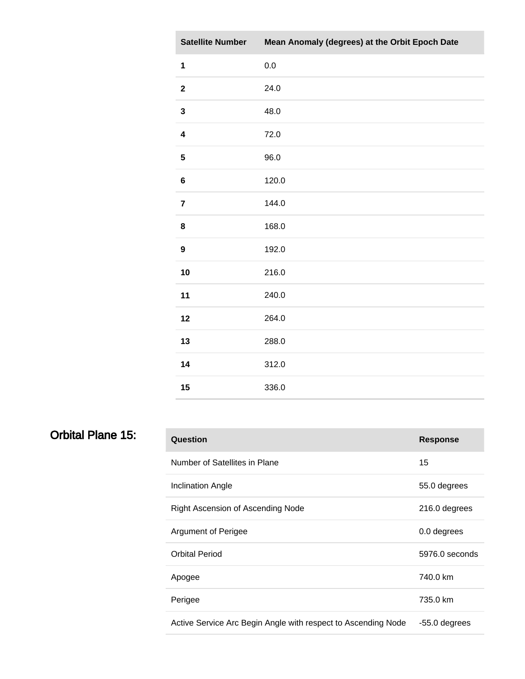| <b>Satellite Number</b> | Mean Anomaly (degrees) at the Orbit Epoch Date |
|-------------------------|------------------------------------------------|
| $\mathbf 1$             | 0.0                                            |
| $\mathbf{2}$            | 24.0                                           |
| 3                       | 48.0                                           |
| 4                       | 72.0                                           |
| ${\bf 5}$               | 96.0                                           |
| $\bf 6$                 | 120.0                                          |
| $\overline{\mathbf{7}}$ | 144.0                                          |
| 8                       | 168.0                                          |
| $\boldsymbol{9}$        | 192.0                                          |
| 10                      | 216.0                                          |
| 11                      | 240.0                                          |
| 12                      | 264.0                                          |
| 13                      | 288.0                                          |
| 14                      | 312.0                                          |
| 15                      | 336.0                                          |

# **Orbital Plane 15:**

| Question                                                      | <b>Response</b> |
|---------------------------------------------------------------|-----------------|
| Number of Satellites in Plane                                 | 15              |
| Inclination Angle                                             | 55.0 degrees    |
| Right Ascension of Ascending Node                             | 216.0 degrees   |
| Argument of Perigee                                           | 0.0 degrees     |
| <b>Orbital Period</b>                                         | 5976.0 seconds  |
| Apogee                                                        | 740.0 km        |
| Perigee                                                       | 735.0 km        |
| Active Service Arc Begin Angle with respect to Ascending Node | -55.0 degrees   |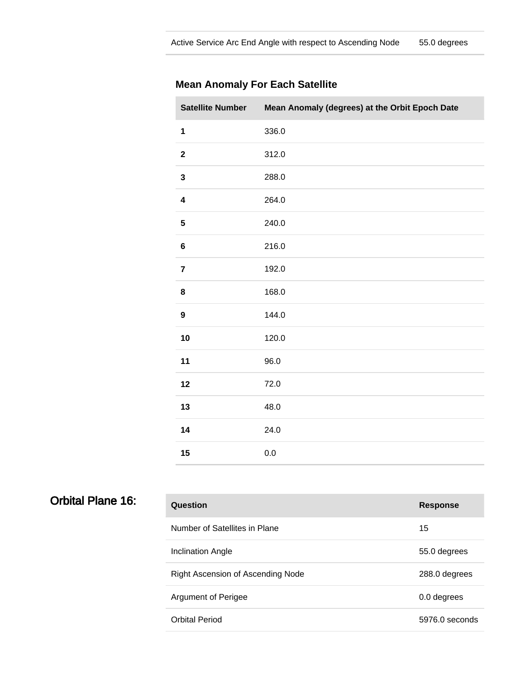| <b>Satellite Number</b> | Mean Anomaly (degrees) at the Orbit Epoch Date |
|-------------------------|------------------------------------------------|
| $\mathbf{1}$            | 336.0                                          |
| $\boldsymbol{2}$        | 312.0                                          |
| 3                       | 288.0                                          |
| $\overline{\mathbf{4}}$ | 264.0                                          |
| $\overline{\mathbf{5}}$ | 240.0                                          |
| $\bf 6$                 | 216.0                                          |
| $\overline{7}$          | 192.0                                          |
| 8                       | 168.0                                          |
| $\boldsymbol{9}$        | 144.0                                          |
| 10                      | 120.0                                          |
| 11                      | 96.0                                           |
| 12                      | 72.0                                           |
| 13                      | 48.0                                           |
| 14                      | 24.0                                           |
| 15                      | 0.0                                            |

|  | <b>Orbital Plane 16:</b> |
|--|--------------------------|
|--|--------------------------|

| Question                          | <b>Response</b> |
|-----------------------------------|-----------------|
| Number of Satellites in Plane     | 15              |
| Inclination Angle                 | 55.0 degrees    |
| Right Ascension of Ascending Node | 288.0 degrees   |
| Argument of Perigee               | 0.0 degrees     |
| <b>Orbital Period</b>             | 5976.0 seconds  |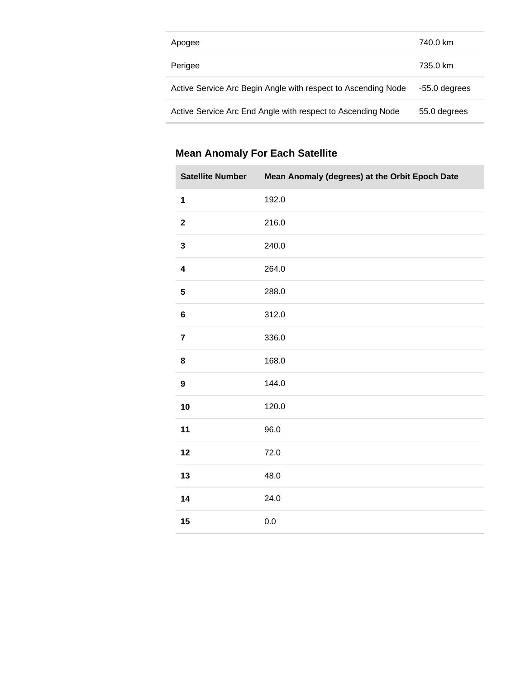| Apogee                                                        | 740.0 km      |
|---------------------------------------------------------------|---------------|
| Perigee                                                       | 735.0 km      |
| Active Service Arc Begin Angle with respect to Ascending Node | -55.0 degrees |
| Active Service Arc End Angle with respect to Ascending Node   | 55.0 degrees  |

| <b>Satellite Number</b> | Mean Anomaly (degrees) at the Orbit Epoch Date |
|-------------------------|------------------------------------------------|
| $\mathbf 1$             | 192.0                                          |
| $\mathbf 2$             | 216.0                                          |
| 3                       | 240.0                                          |
| 4                       | 264.0                                          |
| 5                       | 288.0                                          |
| $\bf 6$                 | 312.0                                          |
| $\overline{7}$          | 336.0                                          |
| 8                       | 168.0                                          |
| $\boldsymbol{9}$        | 144.0                                          |
| 10                      | 120.0                                          |
| 11                      | 96.0                                           |
| 12                      | 72.0                                           |
| 13                      | 48.0                                           |
| 14                      | 24.0                                           |
| 15                      | 0.0                                            |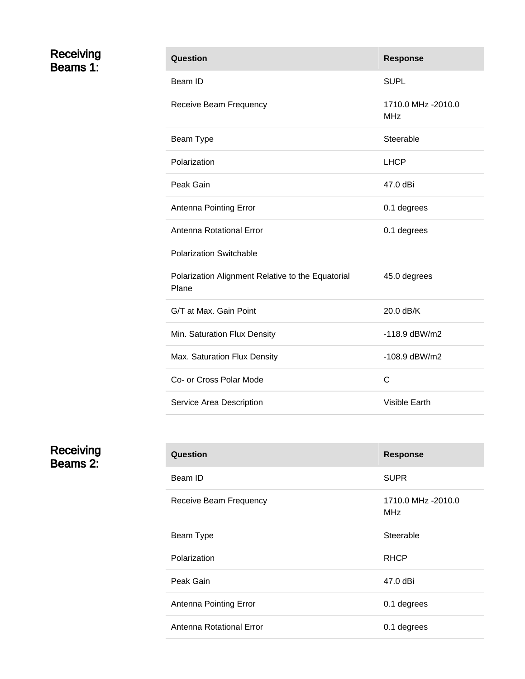#### Receiving Beams 1:

| Question                                                   | <b>Response</b>                  |
|------------------------------------------------------------|----------------------------------|
| Beam ID                                                    | <b>SUPL</b>                      |
| Receive Beam Frequency                                     | 1710.0 MHz -2010.0<br><b>MHz</b> |
| Beam Type                                                  | Steerable                        |
| Polarization                                               | <b>LHCP</b>                      |
| Peak Gain                                                  | 47.0 dBi                         |
| Antenna Pointing Error                                     | 0.1 degrees                      |
| Antenna Rotational Error                                   | 0.1 degrees                      |
| <b>Polarization Switchable</b>                             |                                  |
| Polarization Alignment Relative to the Equatorial<br>Plane | 45.0 degrees                     |
| G/T at Max. Gain Point                                     | 20.0 dB/K                        |
| Min. Saturation Flux Density                               | $-118.9$ dBW/m2                  |
| Max. Saturation Flux Density                               | -108.9 dBW/m2                    |
| Co- or Cross Polar Mode                                    | $\mathsf{C}$                     |
| Service Area Description                                   | <b>Visible Earth</b>             |

Receiving Beams 2:

| Question                 | <b>Response</b>                       |
|--------------------------|---------------------------------------|
| Beam ID                  | <b>SUPR</b>                           |
| Receive Beam Frequency   | 1710.0 MHz -2010.0<br>MH <sub>7</sub> |
| Beam Type                | Steerable                             |
| Polarization             | <b>RHCP</b>                           |
| Peak Gain                | 47.0 dBi                              |
| Antenna Pointing Error   | 0.1 degrees                           |
| Antenna Rotational Error | 0.1 degrees                           |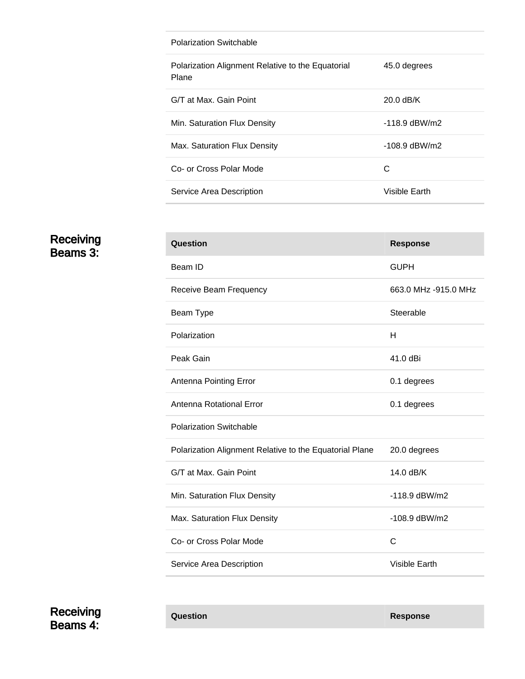| Polarization Switchable                                    |                 |
|------------------------------------------------------------|-----------------|
| Polarization Alignment Relative to the Equatorial<br>Plane | 45.0 degrees    |
| G/T at Max. Gain Point                                     | $20.0$ dB/K     |
| Min. Saturation Flux Density                               | $-118.9$ dBW/m2 |
| Max. Saturation Flux Density                               | -108.9 dBW/m2   |
| Co- or Cross Polar Mode                                    | C               |
| Service Area Description                                   | Visible Earth   |

#### Receiving Beams 3:

| Question                                                | <b>Response</b>      |
|---------------------------------------------------------|----------------------|
| Beam ID                                                 | <b>GUPH</b>          |
| Receive Beam Frequency                                  | 663.0 MHz -915.0 MHz |
| Beam Type                                               | Steerable            |
| Polarization                                            | н                    |
| Peak Gain                                               | 41.0 dBi             |
| Antenna Pointing Error                                  | 0.1 degrees          |
| Antenna Rotational Error                                | 0.1 degrees          |
| <b>Polarization Switchable</b>                          |                      |
| Polarization Alignment Relative to the Equatorial Plane | 20.0 degrees         |
| G/T at Max. Gain Point                                  | 14.0 dB/K            |
| Min. Saturation Flux Density                            | -118.9 dBW/m2        |
| Max. Saturation Flux Density                            | -108.9 dBW/m2        |
| Co- or Cross Polar Mode                                 | C                    |
| Service Area Description                                | Visible Earth        |

**Question Response**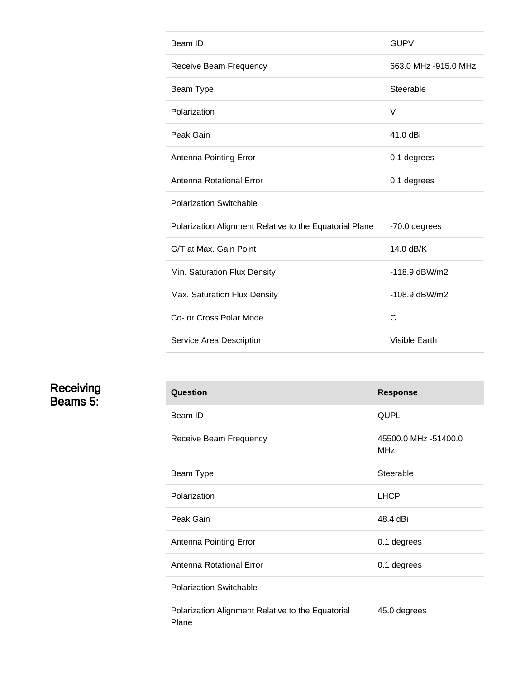| Beam ID                                                 | <b>GUPV</b>          |
|---------------------------------------------------------|----------------------|
| Receive Beam Frequency                                  | 663.0 MHz -915.0 MHz |
| Beam Type                                               | Steerable            |
| Polarization                                            | V                    |
| Peak Gain                                               | 41.0 dBi             |
| Antenna Pointing Error                                  | 0.1 degrees          |
| Antenna Rotational Error                                | 0.1 degrees          |
| Polarization Switchable                                 |                      |
| Polarization Alignment Relative to the Equatorial Plane | -70.0 degrees        |
| G/T at Max. Gain Point                                  | 14.0 dB/K            |
| Min. Saturation Flux Density                            | $-118.9$ dBW/m2      |
| Max. Saturation Flux Density                            | -108.9 dBW/m2        |
| Co- or Cross Polar Mode                                 | C                    |
| Service Area Description                                | <b>Visible Earth</b> |

**Receiving** Beams 5:

| Question                                                   | <b>Response</b>                    |
|------------------------------------------------------------|------------------------------------|
| Beam ID                                                    | QUPL                               |
| Receive Beam Frequency                                     | 45500.0 MHz -51400.0<br><b>MHz</b> |
| Beam Type                                                  | Steerable                          |
| Polarization                                               | <b>LHCP</b>                        |
| Peak Gain                                                  | 48.4 dBi                           |
| Antenna Pointing Error                                     | 0.1 degrees                        |
| Antenna Rotational Error                                   | 0.1 degrees                        |
| <b>Polarization Switchable</b>                             |                                    |
| Polarization Alignment Relative to the Equatorial<br>Plane | 45.0 degrees                       |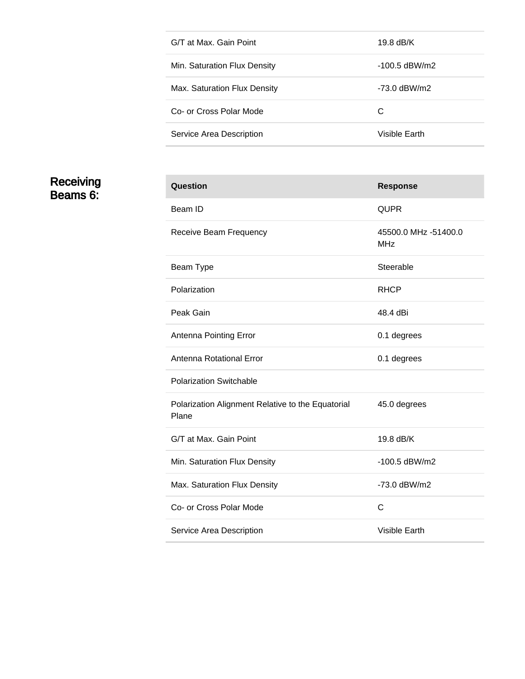| G/T at Max. Gain Point       | 19.8 dB/K       |
|------------------------------|-----------------|
| Min. Saturation Flux Density | $-100.5$ dBW/m2 |
| Max. Saturation Flux Density | -73.0 dBW/m2    |
| Co- or Cross Polar Mode      | С               |
| Service Area Description     | Visible Earth   |

#### **Receiving** Beams 6:

| Question                                                   | <b>Response</b>                    |
|------------------------------------------------------------|------------------------------------|
| Beam ID                                                    | <b>QUPR</b>                        |
| Receive Beam Frequency                                     | 45500.0 MHz -51400.0<br><b>MHz</b> |
| Beam Type                                                  | Steerable                          |
| Polarization                                               | <b>RHCP</b>                        |
| Peak Gain                                                  | 48.4 dBi                           |
| Antenna Pointing Error                                     | 0.1 degrees                        |
| Antenna Rotational Error                                   | 0.1 degrees                        |
| <b>Polarization Switchable</b>                             |                                    |
| Polarization Alignment Relative to the Equatorial<br>Plane | 45.0 degrees                       |
| G/T at Max. Gain Point                                     | 19.8 dB/K                          |
| Min. Saturation Flux Density                               | -100.5 dBW/m2                      |
| Max. Saturation Flux Density                               | -73.0 dBW/m2                       |
| Co- or Cross Polar Mode                                    | C                                  |
| Service Area Description                                   | <b>Visible Earth</b>               |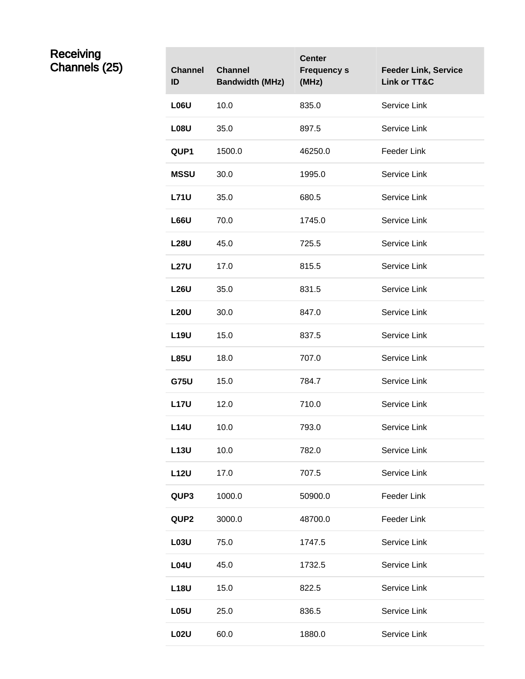#### Receiving Channels (25) **Channel**

| <b>Channel</b><br>ID | <b>Channel</b><br><b>Bandwidth (MHz)</b> | <b>Center</b><br><b>Frequency s</b><br>(MHz) | <b>Feeder Link, Service</b><br><b>Link or TT&amp;C</b> |
|----------------------|------------------------------------------|----------------------------------------------|--------------------------------------------------------|
| <b>L06U</b>          | 10.0                                     | 835.0                                        | Service Link                                           |
| L <sub>0</sub> 8U    | 35.0                                     | 897.5                                        | Service Link                                           |
| QUP1                 | 1500.0                                   | 46250.0                                      | <b>Feeder Link</b>                                     |
| <b>MSSU</b>          | 30.0                                     | 1995.0                                       | Service Link                                           |
| <b>L71U</b>          | 35.0                                     | 680.5                                        | Service Link                                           |
| <b>L66U</b>          | 70.0                                     | 1745.0                                       | Service Link                                           |
| <b>L28U</b>          | 45.0                                     | 725.5                                        | Service Link                                           |
| <b>L27U</b>          | 17.0                                     | 815.5                                        | Service Link                                           |
| <b>L26U</b>          | 35.0                                     | 831.5                                        | Service Link                                           |
| <b>L20U</b>          | 30.0                                     | 847.0                                        | Service Link                                           |
| <b>L19U</b>          | 15.0                                     | 837.5                                        | Service Link                                           |
| <b>L85U</b>          | 18.0                                     | 707.0                                        | Service Link                                           |
| <b>G75U</b>          | 15.0                                     | 784.7                                        | Service Link                                           |
| <b>L17U</b>          | 12.0                                     | 710.0                                        | Service Link                                           |
| <b>L14U</b>          | 10.0                                     | 793.0                                        | Service Link                                           |
| <b>L13U</b>          | 10.0                                     | 782.0                                        | Service Link                                           |
| <b>L12U</b>          | 17.0                                     | 707.5                                        | Service Link                                           |
| QUP3                 | 1000.0                                   | 50900.0                                      | Feeder Link                                            |
| QUP <sub>2</sub>     | 3000.0                                   | 48700.0                                      | Feeder Link                                            |
| <b>L03U</b>          | 75.0                                     | 1747.5                                       | Service Link                                           |
| <b>L04U</b>          | 45.0                                     | 1732.5                                       | Service Link                                           |
| <b>L18U</b>          | 15.0                                     | 822.5                                        | Service Link                                           |
| <b>L05U</b>          | 25.0                                     | 836.5                                        | Service Link                                           |
| <b>L02U</b>          | 60.0                                     | 1880.0                                       | Service Link                                           |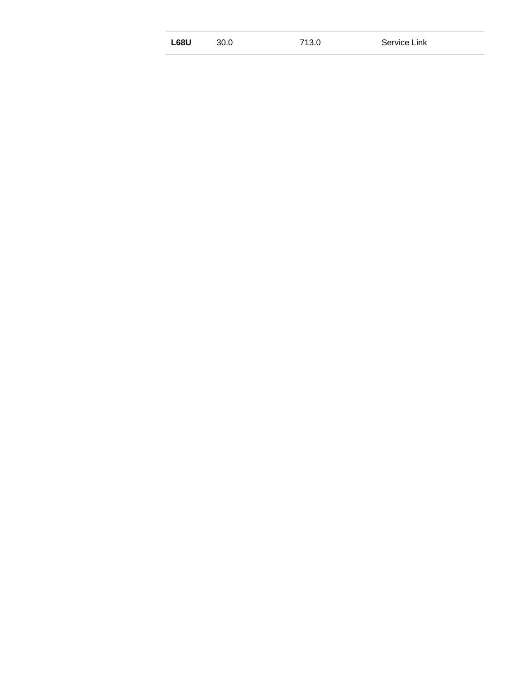| L68U | 30.0 | 713.0 | Service Link |
|------|------|-------|--------------|
|      |      |       |              |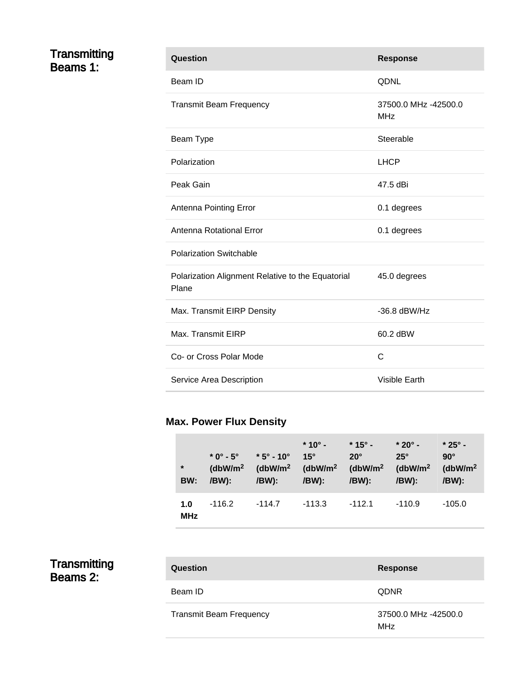#### Transmitting Beams 1:

| Question                                                   | <b>Response</b>                    |
|------------------------------------------------------------|------------------------------------|
| Beam ID                                                    | <b>QDNL</b>                        |
| <b>Transmit Beam Frequency</b>                             | 37500.0 MHz -42500.0<br><b>MHz</b> |
| Beam Type                                                  | Steerable                          |
| Polarization                                               | <b>LHCP</b>                        |
| Peak Gain                                                  | 47.5 dBi                           |
| Antenna Pointing Error                                     | 0.1 degrees                        |
| <b>Antenna Rotational Error</b>                            | 0.1 degrees                        |
| <b>Polarization Switchable</b>                             |                                    |
| Polarization Alignment Relative to the Equatorial<br>Plane | 45.0 degrees                       |
| Max. Transmit EIRP Density                                 | $-36.8$ dBW/Hz                     |
| Max. Transmit EIRP                                         | 60.2 dBW                           |
| Co- or Cross Polar Mode                                    | C                                  |
| Service Area Description                                   | <b>Visible Earth</b>               |

### **Max. Power Flux Density**

| $\rightarrow$<br>BW: | /BW):  | $*0^{\circ} - 5^{\circ}$ $*5^{\circ} - 10^{\circ}$ 15°<br>$(dbW/m2$ $(dbW/m2$ $(dbW/m2$ $(dbW/m2$ $(dbW/m2$<br>/BW): | $*10^{\circ} - *15^{\circ} -$<br>/BW): | $20^\circ$<br>/BW): | $*20^\circ$ -<br>$25^\circ$<br>/BW): | $*25^{\circ}$ -<br>$90^\circ$<br>( $dbW/m2$<br>/BW): |
|----------------------|--------|----------------------------------------------------------------------------------------------------------------------|----------------------------------------|---------------------|--------------------------------------|------------------------------------------------------|
| 1.0<br><b>MHz</b>    | -116.2 | $-114.7$                                                                                                             | -113.3                                 | -112.1              | $-110.9$                             | $-105.0$                                             |

#### Transmitting Beams 2:

| Question                | <b>Response</b>                    |
|-------------------------|------------------------------------|
| Beam ID                 | <b>QDNR</b>                        |
| Transmit Beam Frequency | 37500.0 MHz -42500.0<br><b>MHz</b> |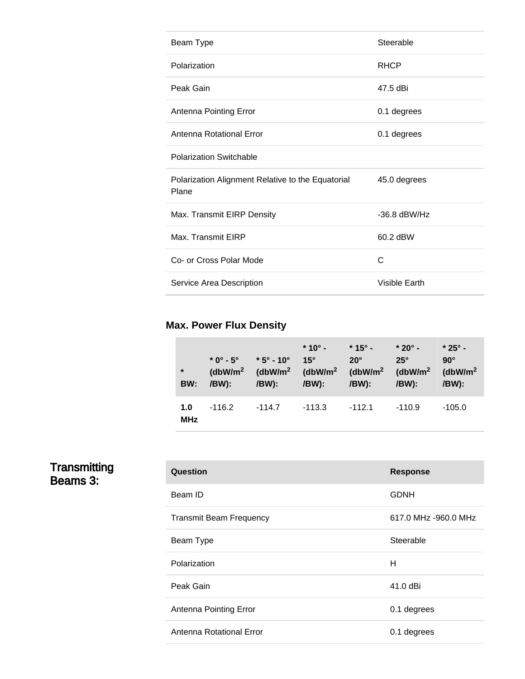| Beam Type                                                  | Steerable      |
|------------------------------------------------------------|----------------|
| Polarization                                               | <b>RHCP</b>    |
| Peak Gain                                                  | 47.5 dBi       |
| Antenna Pointing Error                                     | 0.1 degrees    |
| Antenna Rotational Error                                   | 0.1 degrees    |
| <b>Polarization Switchable</b>                             |                |
| Polarization Alignment Relative to the Equatorial<br>Plane | 45.0 degrees   |
| Max. Transmit EIRP Density                                 | $-36.8$ dBW/Hz |
| Max. Transmit EIRP                                         | 60.2 dBW       |
| Co- or Cross Polar Mode                                    | C              |
| Service Area Description                                   | Visible Earth  |

### **Max. Power Flux Density**

| $\star$<br>BW:    | $* 0^\circ - 5^\circ$ $* 5^\circ - 10^\circ$<br>(dbW/m <sup>2</sup> )<br>/BW): | /BW):    | $*$ 10° -<br>$15^\circ$<br>/BW): | $*15^\circ$ -<br>$20^\circ$<br>(dbW/m <sup>2</sup> (dbW/m <sup>2</sup> (dbW/m <sup>2</sup> (dbW/m <sup>2</sup><br>/BW): | $*20^\circ$ -<br>$25^\circ$<br>/BW): | $*25^{\circ}$ -<br>$90^\circ$<br>(dbW/m <sup>2</sup> )<br>/BW): |
|-------------------|--------------------------------------------------------------------------------|----------|----------------------------------|-------------------------------------------------------------------------------------------------------------------------|--------------------------------------|-----------------------------------------------------------------|
| 1.0<br><b>MHz</b> | -116.2                                                                         | $-114.7$ | -113.3                           | $-112.1$                                                                                                                | $-110.9$                             | $-105.0$                                                        |

#### Transmitting Beams 3:

| Question                       | <b>Response</b>      |
|--------------------------------|----------------------|
| Beam ID                        | GDNH                 |
| <b>Transmit Beam Frequency</b> | 617.0 MHz -960.0 MHz |
| Beam Type                      | Steerable            |
| Polarization                   | н                    |
| Peak Gain                      | 41.0 dBi             |
| Antenna Pointing Error         | 0.1 degrees          |
| Antenna Rotational Error       | 0.1 degrees          |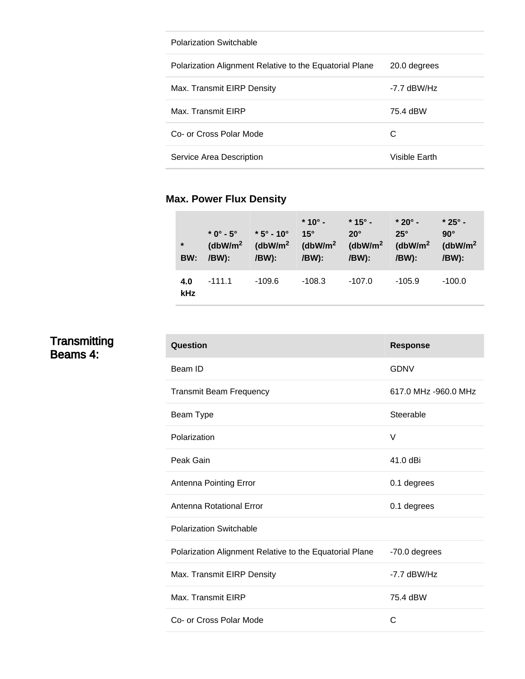| <b>Polarization Switchable</b>                          |               |
|---------------------------------------------------------|---------------|
| Polarization Alignment Relative to the Equatorial Plane | 20.0 degrees  |
| Max. Transmit EIRP Density                              | -7.7 dBW/Hz   |
| Max, Transmit EIRP                                      | 75.4 dBW      |
| Co- or Cross Polar Mode                                 | С             |
| Service Area Description                                | Visible Earth |

### **Max. Power Flux Density**

| $\star$<br>BW: | $*$ 0° - 5°<br>(dbW/m <sup>2</sup> )<br>/BW): | $*5^{\circ}$ - 10°<br>(dbW/m <sup>2</sup> )<br>/BW): | $*10^{\circ}$ -<br>$15^\circ$<br>(dbW/m <sup>2</sup> (dbW/m <sup>2</sup> )<br>/BW): | $*15^\circ$ -<br>$20^\circ$<br>/BW): | $*20^\circ$ -<br>$25^\circ$<br>(dbW/m <sup>2</sup> )<br>/BW): | $*25^{\circ}$ -<br>$90^\circ$<br>(dbW/m <sup>2</sup> )<br>/BW): |
|----------------|-----------------------------------------------|------------------------------------------------------|-------------------------------------------------------------------------------------|--------------------------------------|---------------------------------------------------------------|-----------------------------------------------------------------|
| 4.0<br>kHz     | $-111.1$                                      | $-109.6$                                             | $-108.3$                                                                            | $-107.0$                             | $-105.9$                                                      | $-100.0$                                                        |

#### Transmitting Beams 4:

| Question                                                | <b>Response</b>      |
|---------------------------------------------------------|----------------------|
| Beam ID                                                 | <b>GDNV</b>          |
| <b>Transmit Beam Frequency</b>                          | 617.0 MHz -960.0 MHz |
| Beam Type                                               | Steerable            |
| Polarization                                            | $\vee$               |
| Peak Gain                                               | 41.0 dBi             |
| Antenna Pointing Error                                  | 0.1 degrees          |
| Antenna Rotational Error                                | 0.1 degrees          |
| <b>Polarization Switchable</b>                          |                      |
| Polarization Alignment Relative to the Equatorial Plane | -70.0 degrees        |
| Max. Transmit EIRP Density                              | $-7.7$ dBW/Hz        |
| Max. Transmit EIRP                                      | 75.4 dBW             |
| Co- or Cross Polar Mode                                 | C                    |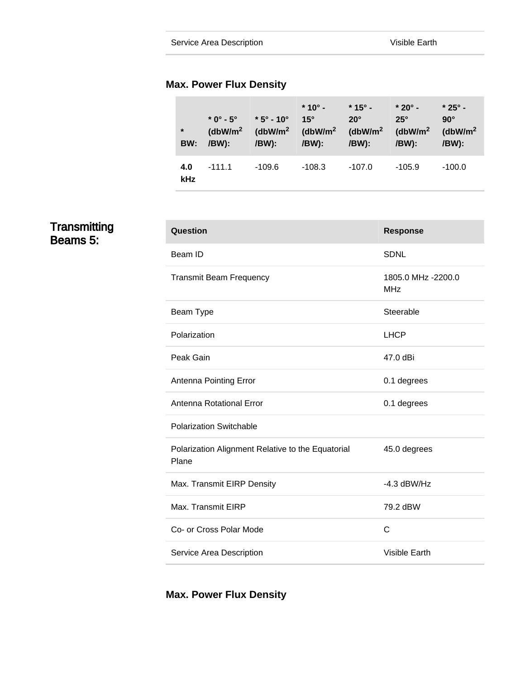#### **Max. Power Flux Density**

| $\star$<br>BW: | $*$ 0° - 5°<br>(dbW/m <sup>2</sup> )<br>/BW): | $*5^\circ$ - 10 $^\circ$<br>(dbW/m <sup>2</sup> )<br>/BW): | $*10^{\circ}$ -<br>$15^\circ$<br>(dbW/m <sup>2</sup> )<br>/BW): | $*$ 15° -<br>$20^\circ$<br>(dbW/m <sup>2</sup> )<br>/BW): | $*$ 20° -<br>$25^\circ$<br>(dbW/m <sup>2</sup> )<br>/BW): | $*25^{\circ}$ -<br>$90^\circ$<br>(dbW/m <sup>2</sup> )<br>/BW): |
|----------------|-----------------------------------------------|------------------------------------------------------------|-----------------------------------------------------------------|-----------------------------------------------------------|-----------------------------------------------------------|-----------------------------------------------------------------|
| 4.0<br>kHz     | $-111.1$                                      | -109.6                                                     | $-108.3$                                                        | $-107.0$                                                  | $-105.9$                                                  | $-100.0$                                                        |

#### Transmitting Beams 5:

| Question                                                   | <b>Response</b>                  |
|------------------------------------------------------------|----------------------------------|
| Beam ID                                                    | <b>SDNL</b>                      |
| <b>Transmit Beam Frequency</b>                             | 1805.0 MHz -2200.0<br><b>MHz</b> |
| Beam Type                                                  | Steerable                        |
| Polarization                                               | <b>LHCP</b>                      |
| Peak Gain                                                  | 47.0 dBi                         |
| Antenna Pointing Error                                     | 0.1 degrees                      |
| Antenna Rotational Error                                   | 0.1 degrees                      |
| <b>Polarization Switchable</b>                             |                                  |
| Polarization Alignment Relative to the Equatorial<br>Plane | 45.0 degrees                     |
| Max. Transmit EIRP Density                                 | $-4.3$ dBW/Hz                    |
| Max. Transmit EIRP                                         | 79.2 dBW                         |
| Co- or Cross Polar Mode                                    | C                                |
| Service Area Description                                   | Visible Earth                    |

**Max. Power Flux Density**

ò.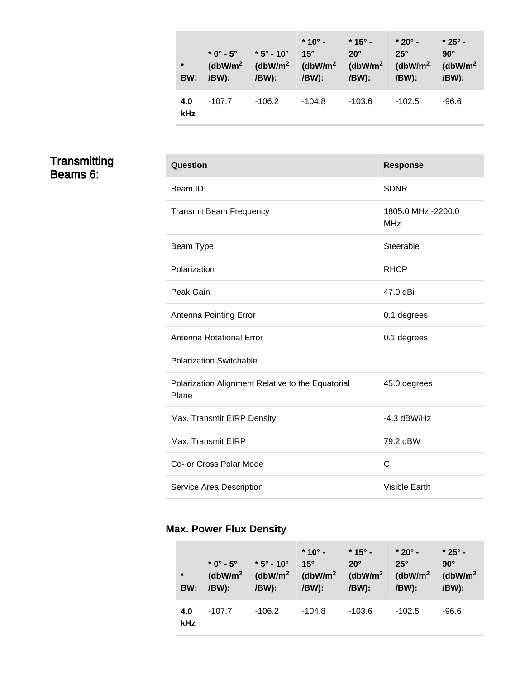| $\star$<br>BW: | $*$ 0° - 5° $*$ 5° - 10°<br>(dbW/m <sup>2</sup> )<br>/BW): | $(dbW/m2$ $(dbW/m2)$<br>/BW): | $*10^{\circ}$ -<br>$15^\circ$<br>/BW): | $*$ 15° -<br>$20^\circ$<br>(dbW/m <sup>2</sup> )<br>/BW): | $*20^\circ$ -<br>$25^\circ$<br>(dbW/m <sup>2</sup> )<br>/BW): | $*25^{\circ}$ -<br>$90^\circ$<br>(dbW/m <sup>2</sup> )<br>/BW): |
|----------------|------------------------------------------------------------|-------------------------------|----------------------------------------|-----------------------------------------------------------|---------------------------------------------------------------|-----------------------------------------------------------------|
| 4.0<br>kHz     | -107.7                                                     | $-106.2$                      | $-104.8$                               | -103.6                                                    | $-102.5$                                                      | $-96.6$                                                         |

#### Transmitting Beams 6:

| Question                                                   | <b>Response</b>                  |
|------------------------------------------------------------|----------------------------------|
| Beam ID                                                    | <b>SDNR</b>                      |
| <b>Transmit Beam Frequency</b>                             | 1805.0 MHz -2200.0<br><b>MHz</b> |
| Beam Type                                                  | Steerable                        |
| Polarization                                               | <b>RHCP</b>                      |
| Peak Gain                                                  | 47.0 dBi                         |
| Antenna Pointing Error                                     | 0.1 degrees                      |
| Antenna Rotational Error                                   | 0.1 degrees                      |
| <b>Polarization Switchable</b>                             |                                  |
| Polarization Alignment Relative to the Equatorial<br>Plane | 45.0 degrees                     |
| Max. Transmit EIRP Density                                 | $-4.3$ dBW/Hz                    |
| Max. Transmit EIRP                                         | 79.2 dBW                         |
| Co- or Cross Polar Mode                                    | C                                |
| Service Area Description                                   | <b>Visible Earth</b>             |

### **Max. Power Flux Density**

| $\star$<br>BW: | $*$ 0° - 5°<br>(dbW/m <sup>2</sup> )<br>/BW): | $*5^\circ$ - 10 $^\circ$<br>(dbW/m <sup>2</sup> )<br>/BW): | $*$ 10° -<br>$15^\circ$<br>(dbW/m <sup>2</sup> (dbW/m <sup>2</sup><br>/BW): | $*15^{\circ}$ -<br>$20^\circ$<br>/BW): | $*20^\circ$ -<br>$25^\circ$<br>(dbW/m <sup>2</sup> )<br>/BW): | $*25^{\circ}$ -<br>$90^\circ$<br>(dbW/m <sup>2</sup> )<br>/BW): |
|----------------|-----------------------------------------------|------------------------------------------------------------|-----------------------------------------------------------------------------|----------------------------------------|---------------------------------------------------------------|-----------------------------------------------------------------|
| 4.0<br>kHz     | $-107.7$                                      | $-106.2$                                                   | $-104.8$                                                                    | $-103.6$                               | $-102.5$                                                      | $-96.6$                                                         |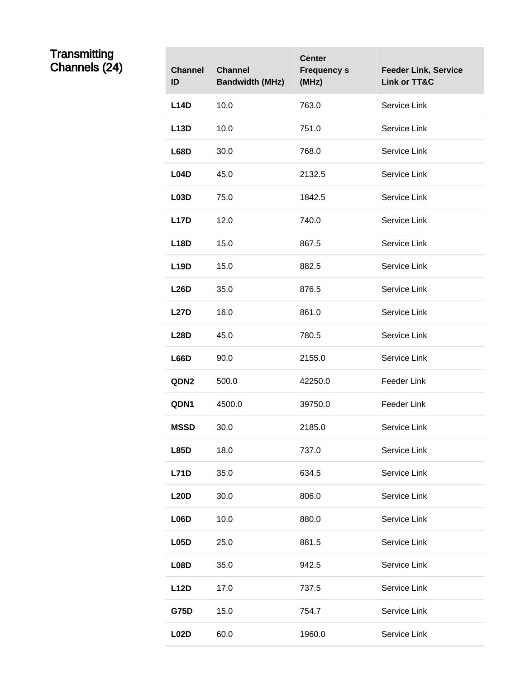#### Transmitting Channels (24) **Channel**

| <b>Channel</b><br>ID | <b>Channel</b><br><b>Bandwidth (MHz)</b> | <b>Center</b><br><b>Frequency s</b><br>(MHz) | <b>Feeder Link, Service</b><br><b>Link or TT&amp;C</b> |
|----------------------|------------------------------------------|----------------------------------------------|--------------------------------------------------------|
| <b>L14D</b>          | 10.0                                     | 763.0                                        | Service Link                                           |
| L13D                 | 10.0                                     | 751.0                                        | Service Link                                           |
| L68D                 | 30.0                                     | 768.0                                        | Service Link                                           |
| <b>L04D</b>          | 45.0                                     | 2132.5                                       | Service Link                                           |
| L <sub>03D</sub>     | 75.0                                     | 1842.5                                       | Service Link                                           |
| <b>L17D</b>          | 12.0                                     | 740.0                                        | Service Link                                           |
| <b>L18D</b>          | 15.0                                     | 867.5                                        | Service Link                                           |
| <b>L19D</b>          | 15.0                                     | 882.5                                        | Service Link                                           |
| <b>L26D</b>          | 35.0                                     | 876.5                                        | Service Link                                           |
| <b>L27D</b>          | 16.0                                     | 861.0                                        | Service Link                                           |
| <b>L28D</b>          | 45.0                                     | 780.5                                        | Service Link                                           |
| <b>L66D</b>          | 90.0                                     | 2155.0                                       | Service Link                                           |
| QDN <sub>2</sub>     | 500.0                                    | 42250.0                                      | Feeder Link                                            |
| QDN <sub>1</sub>     | 4500.0                                   | 39750.0                                      | <b>Feeder Link</b>                                     |
| <b>MSSD</b>          | 30.0                                     | 2185.0                                       | Service Link                                           |
| <b>L85D</b>          | 18.0                                     | 737.0                                        | Service Link                                           |
| <b>L71D</b>          | 35.0                                     | 634.5                                        | Service Link                                           |
| <b>L20D</b>          | 30.0                                     | 806.0                                        | Service Link                                           |
| <b>L06D</b>          | 10.0                                     | 880.0                                        | Service Link                                           |
| <b>L05D</b>          | 25.0                                     | 881.5                                        | Service Link                                           |
| <b>L08D</b>          | 35.0                                     | 942.5                                        | Service Link                                           |
| <b>L12D</b>          | 17.0                                     | 737.5                                        | Service Link                                           |
| <b>G75D</b>          | 15.0                                     | 754.7                                        | Service Link                                           |
| <b>L02D</b>          | 60.0                                     | 1960.0                                       | Service Link                                           |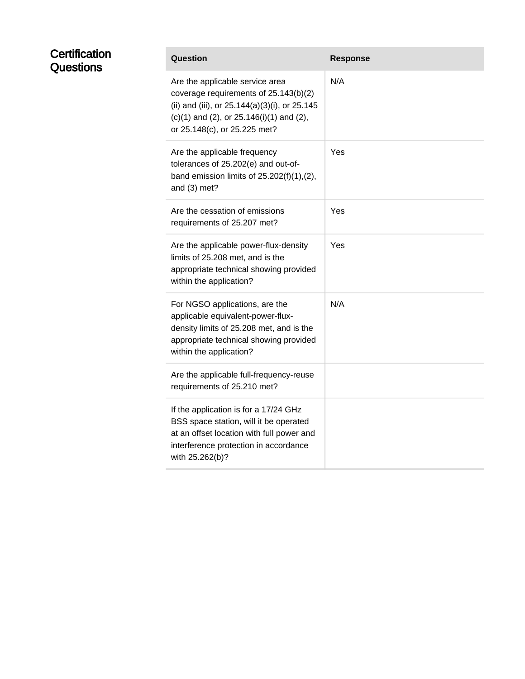| Certification<br>Questions | Question                                                                                                                                                                                              | <b>Response</b> |
|----------------------------|-------------------------------------------------------------------------------------------------------------------------------------------------------------------------------------------------------|-----------------|
|                            | Are the applicable service area<br>coverage requirements of 25.143(b)(2)<br>(ii) and (iii), or 25.144(a)(3)(i), or 25.145<br>(c)(1) and (2), or 25.146(i)(1) and (2),<br>or 25.148(c), or 25.225 met? | N/A             |
|                            | Are the applicable frequency<br>tolerances of 25.202(e) and out-of-<br>band emission limits of $25.202(f)(1),(2)$ ,<br>and $(3)$ met?                                                                 | Yes             |
|                            | Are the cessation of emissions<br>requirements of 25.207 met?                                                                                                                                         | Yes             |
|                            | Are the applicable power-flux-density<br>limits of 25.208 met, and is the<br>appropriate technical showing provided<br>within the application?                                                        | Yes             |
|                            | For NGSO applications, are the<br>applicable equivalent-power-flux-<br>density limits of 25.208 met, and is the<br>appropriate technical showing provided<br>within the application?                  | N/A             |
|                            | Are the applicable full-frequency-reuse<br>requirements of 25.210 met?                                                                                                                                |                 |
|                            | If the application is for a 17/24 GHz<br>BSS space station, will it be operated<br>at an offset location with full power and<br>interference protection in accordance<br>with 25.262(b)?              |                 |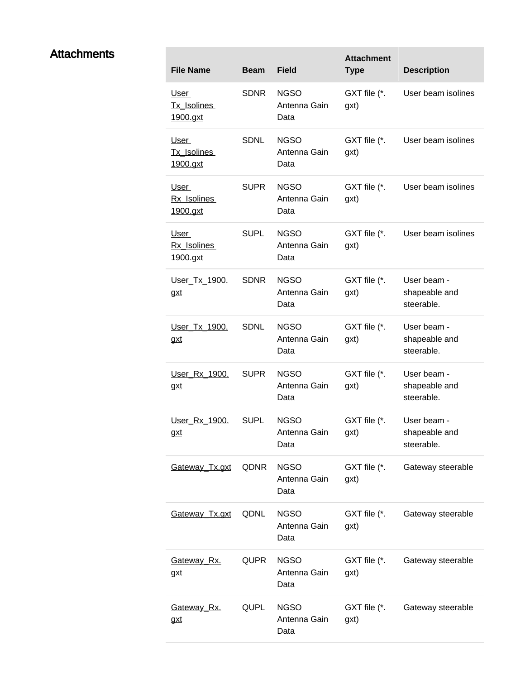### **Attachments**

| <b>File Name</b>                              | <b>Beam</b> | <b>Field</b>                        | <b>Attachment</b><br><b>Type</b> | <b>Description</b>                         |
|-----------------------------------------------|-------------|-------------------------------------|----------------------------------|--------------------------------------------|
| <u>User</u><br><b>Tx_Isolines</b><br>1900.gxt | <b>SDNR</b> | <b>NGSO</b><br>Antenna Gain<br>Data | GXT file (*.<br>gxt)             | User beam isolines                         |
| <u>User</u><br><b>Tx_Isolines</b><br>1900.gxt | <b>SDNL</b> | <b>NGSO</b><br>Antenna Gain<br>Data | GXT file (*.<br>gxt)             | User beam isolines                         |
| <u>User</u><br>Rx Isolines<br>1900.gxt        | <b>SUPR</b> | <b>NGSO</b><br>Antenna Gain<br>Data | GXT file (*.<br>gxt)             | User beam isolines                         |
| <u>User</u><br>Rx Isolines<br>1900.gxt        | <b>SUPL</b> | <b>NGSO</b><br>Antenna Gain<br>Data | GXT file (*.<br>gxt)             | User beam isolines                         |
| User_Tx_1900.<br><u>gxt</u>                   | <b>SDNR</b> | <b>NGSO</b><br>Antenna Gain<br>Data | GXT file (*.<br>gxt)             | User beam -<br>shapeable and<br>steerable. |
| User_Tx_1900.<br><u>gxt</u>                   | <b>SDNL</b> | <b>NGSO</b><br>Antenna Gain<br>Data | GXT file (*.<br>gxt)             | User beam -<br>shapeable and<br>steerable. |
| User Rx 1900.<br><u>gxt</u>                   | <b>SUPR</b> | <b>NGSO</b><br>Antenna Gain<br>Data | GXT file (*.<br>gxt)             | User beam -<br>shapeable and<br>steerable. |
| User Rx 1900.<br><u>gxt</u>                   | <b>SUPL</b> | <b>NGSO</b><br>Antenna Gain<br>Data | GXT file (*.<br>gxt)             | User beam -<br>shapeable and<br>steerable. |
| Gateway Tx.gxt                                | QDNR        | <b>NGSO</b><br>Antenna Gain<br>Data | GXT file (*.<br>gxt)             | Gateway steerable                          |
| Gateway_Tx.gxt                                | QDNL        | <b>NGSO</b><br>Antenna Gain<br>Data | GXT file (*.<br>gxt)             | Gateway steerable                          |
| <b>Gateway Rx.</b><br><u>gxt</u>              | <b>QUPR</b> | <b>NGSO</b><br>Antenna Gain<br>Data | GXT file (*.<br>gxt)             | Gateway steerable                          |
| Gateway Rx.<br><u>gxt</u>                     | QUPL        | <b>NGSO</b><br>Antenna Gain<br>Data | GXT file (*.<br>gxt)             | Gateway steerable                          |